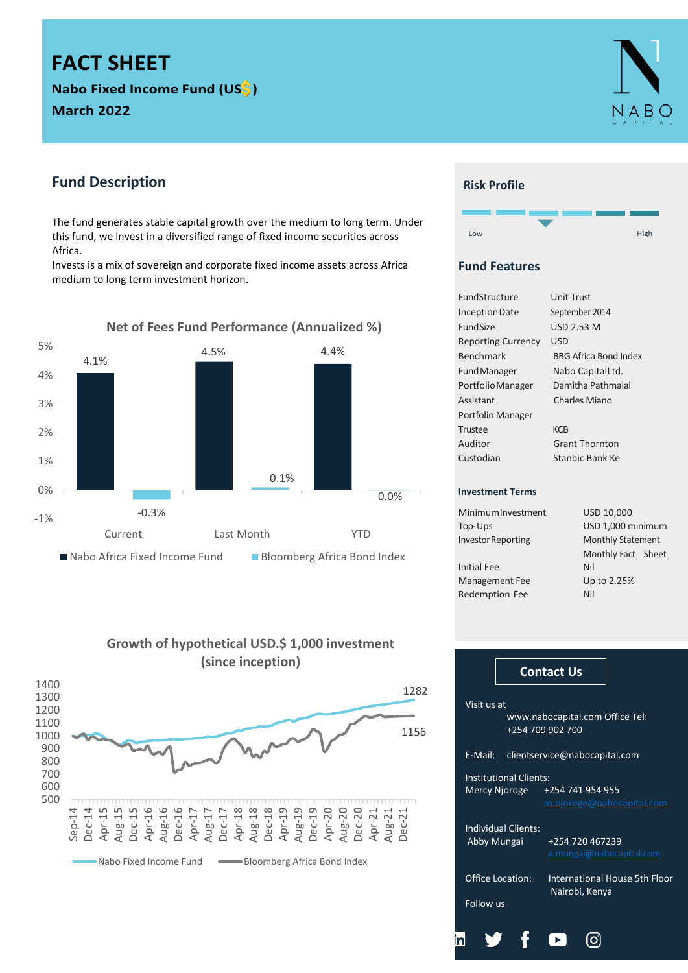# **FACT SHEET**

**Nabo Fixed Income Fund (US ) March 2022**



# **Fund Description**

The fund generates stable capital growth over the medium to long term. Under this fund, we invest in a diversified range of fixed income securities across Africa.

Invests is a mix of sovereign and corporate fixed income assets across Africa medium to long term investment horizon.



**Growth of hypothetical USD.\$ 1,000 investment (since inception)**



### **Risk Profile**



# **Fund Features**

| Unit Trust                   |
|------------------------------|
| September 2014               |
| USD 2.53 M                   |
| USD                          |
| <b>BBG Africa Bond Index</b> |
| Nabo CapitalLtd.             |
| Damitha Pathmalal            |
| Charles Miano                |
|                              |
| KCB                          |
| <b>Grant Thornton</b>        |
| Stanbic Bank Ke              |
|                              |
|                              |
| USD 10,000                   |
|                              |

| MinimumInvestment  | USD 10.000        |
|--------------------|-------------------|
| Top-Ups            | USD 1,000 minimum |
| Investor Renorting | Monthly Statement |

Investor Reporting Monthly Statement Monthly Fact Sheet Initial Fee Nil Management Fee Up to 2.25% Redemption Fee Nil

|                                          |                               | <b>Contact Us</b>                               |  |  |  |  |  |  |  |
|------------------------------------------|-------------------------------|-------------------------------------------------|--|--|--|--|--|--|--|
| Visit us at                              |                               | www.nabocapital.com Office Tel:                 |  |  |  |  |  |  |  |
| +254 709 902 700                         |                               |                                                 |  |  |  |  |  |  |  |
| E-Mail:<br>clientservice@nabocapital.com |                               |                                                 |  |  |  |  |  |  |  |
|                                          | <b>Institutional Clients:</b> |                                                 |  |  |  |  |  |  |  |
|                                          | Mercy Njoroge                 | +254 741 954 955<br>m.njoroge@nabocapital.com   |  |  |  |  |  |  |  |
|                                          | <b>Individual Clients:</b>    |                                                 |  |  |  |  |  |  |  |
| Abby Mungai                              |                               | +254 720 467239<br>a.mungai@nabocapital.com     |  |  |  |  |  |  |  |
|                                          | <b>Office Location:</b>       | International House 5th Floor<br>Nairobi, Kenya |  |  |  |  |  |  |  |
| Follow us                                |                               |                                                 |  |  |  |  |  |  |  |
|                                          |                               |                                                 |  |  |  |  |  |  |  |